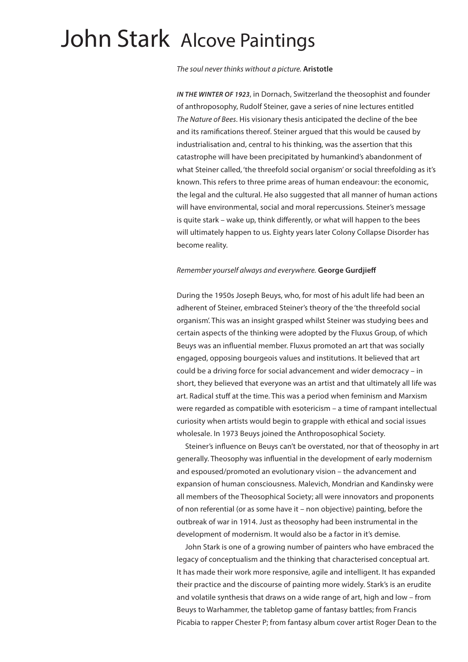# John Stark Alcove Paintings

*The soul never thinks without a picture.* **Aristotle**

*IN THE WINTER OF 1923*, in Dornach, Switzerland the theosophist and founder of anthroposophy, Rudolf Steiner, gave a series of nine lectures entitled *The Nature of Bees*. His visionary thesis anticipated the decline of the bee and its ramifications thereof. Steiner argued that this would be caused by industrialisation and, central to his thinking, was the assertion that this catastrophe will have been precipitated by humankind's abandonment of what Steiner called, 'the threefold social organism' or social threefolding as it's known. This refers to three prime areas of human endeavour: the economic, the legal and the cultural. He also suggested that all manner of human actions will have environmental, social and moral repercussions. Steiner's message is quite stark – wake up, think differently, or what will happen to the bees will ultimately happen to us. Eighty years later Colony Collapse Disorder has become reality.

#### *Remember yourself always and everywhere.* **George Gurdjieff**

During the 1950s Joseph Beuys, who, for most of his adult life had been an adherent of Steiner, embraced Steiner's theory of the 'the threefold social organism'. This was an insight grasped whilst Steiner was studying bees and certain aspects of the thinking were adopted by the Fluxus Group, of which Beuys was an influential member. Fluxus promoted an art that was socially engaged, opposing bourgeois values and institutions. It believed that art could be a driving force for social advancement and wider democracy – in short, they believed that everyone was an artist and that ultimately all life was art. Radical stuff at the time. This was a period when feminism and Marxism were regarded as compatible with esotericism – a time of rampant intellectual curiosity when artists would begin to grapple with ethical and social issues wholesale. In 1973 Beuys joined the Anthroposophical Society.

 Steiner's influence on Beuys can't be overstated, nor that of theosophy in art generally. Theosophy was influential in the development of early modernism and espoused/promoted an evolutionary vision – the advancement and expansion of human consciousness. Malevich, Mondrian and Kandinsky were all members of the Theosophical Society; all were innovators and proponents of non referential (or as some have it – non objective) painting, before the outbreak of war in 1914. Just as theosophy had been instrumental in the development of modernism. It would also be a factor in it's demise.

 John Stark is one of a growing number of painters who have embraced the legacy of conceptualism and the thinking that characterised conceptual art. It has made their work more responsive, agile and intelligent. It has expanded their practice and the discourse of painting more widely. Stark's is an erudite and volatile synthesis that draws on a wide range of art, high and low – from Beuys to Warhammer, the tabletop game of fantasy battles; from Francis Picabia to rapper Chester P; from fantasy album cover artist Roger Dean to the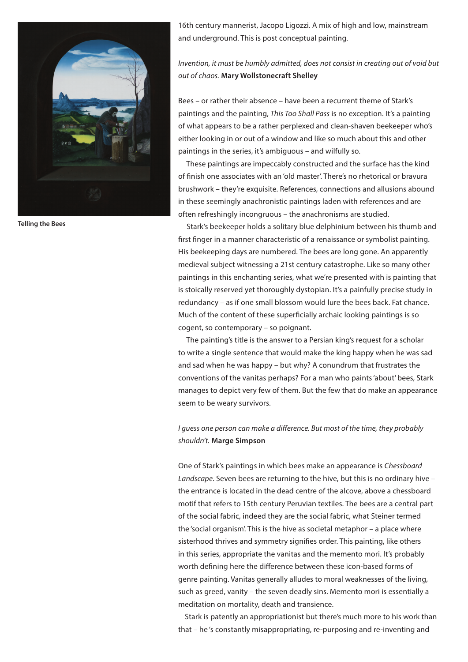

**Telling the Bees**

16th century mannerist, Jacopo Ligozzi. A mix of high and low, mainstream and underground. This is post conceptual painting.

*Invention, it must be humbly admitted, does not consist in creating out of void but out of chaos.* **Mary Wollstonecraft Shelley**

Bees – or rather their absence – have been a recurrent theme of Stark's paintings and the painting, *This Too Shall Pass* is no exception. It's a painting of what appears to be a rather perplexed and clean-shaven beekeeper who's either looking in or out of a window and like so much about this and other paintings in the series, it's ambiguous – and wilfully so.

 These paintings are impeccably constructed and the surface has the kind of finish one associates with an 'old master'. There's no rhetorical or bravura brushwork – they're exquisite. References, connections and allusions abound in these seemingly anachronistic paintings laden with references and are often refreshingly incongruous – the anachronisms are studied.

 Stark's beekeeper holds a solitary blue delphinium between his thumb and first finger in a manner characteristic of a renaissance or symbolist painting. His beekeeping days are numbered. The bees are long gone. An apparently medieval subject witnessing a 21st century catastrophe. Like so many other paintings in this enchanting series, what we're presented with is painting that is stoically reserved yet thoroughly dystopian. It's a painfully precise study in redundancy – as if one small blossom would lure the bees back. Fat chance. Much of the content of these superficially archaic looking paintings is so cogent, so contemporary – so poignant.

 The painting's title is the answer to a Persian king's request for a scholar to write a single sentence that would make the king happy when he was sad and sad when he was happy – but why? A conundrum that frustrates the conventions of the vanitas perhaps? For a man who paints 'about' bees, Stark manages to depict very few of them. But the few that do make an appearance seem to be weary survivors.

### *I guess one person can make a difference. But most of the time, they probably shouldn't.* **Marge Simpson**

One of Stark's paintings in which bees make an appearance is *Chessboard Landscape*. Seven bees are returning to the hive, but this is no ordinary hive – the entrance is located in the dead centre of the alcove, above a chessboard motif that refers to 15th century Peruvian textiles. The bees are a central part of the social fabric, indeed they are the social fabric, what Steiner termed the 'social organism'. This is the hive as societal metaphor – a place where sisterhood thrives and symmetry signifies order. This painting, like others in this series, appropriate the vanitas and the memento mori. It's probably worth defining here the difference between these icon-based forms of genre painting. Vanitas generally alludes to moral weaknesses of the living, such as greed, vanity – the seven deadly sins. Memento mori is essentially a meditation on mortality, death and transience.

Stark is patently an appropriationist but there's much more to his work than that – he 's constantly misappropriating, re-purposing and re-inventing and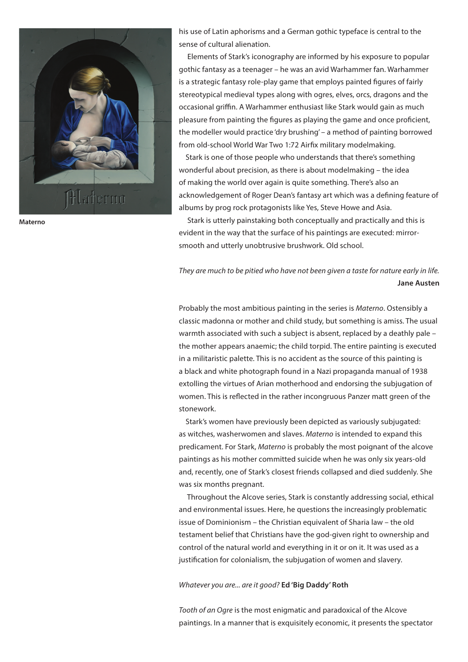

**Materno**

his use of Latin aphorisms and a German gothic typeface is central to the sense of cultural alienation.

 Elements of Stark's iconography are informed by his exposure to popular gothic fantasy as a teenager – he was an avid Warhammer fan. Warhammer is a strategic fantasy role-play game that employs painted figures of fairly stereotypical medieval types along with ogres, elves, orcs, dragons and the occasional griffin. A Warhammer enthusiast like Stark would gain as much pleasure from painting the figures as playing the game and once proficient, the modeller would practice 'dry brushing' – a method of painting borrowed from old-school World War Two 1:72 Airfix military modelmaking.

Stark is one of those people who understands that there's something wonderful about precision, as there is about modelmaking – the idea of making the world over again is quite something. There's also an acknowledgement of Roger Dean's fantasy art which was a defining feature of albums by prog rock protagonists like Yes, Steve Howe and Asia.

 Stark is utterly painstaking both conceptually and practically and this is evident in the way that the surface of his paintings are executed: mirrorsmooth and utterly unobtrusive brushwork. Old school.

## *They are much to be pitied who have not been given a taste for nature early in life.* **Jane Austen**

Probably the most ambitious painting in the series is *Materno*. Ostensibly a classic madonna or mother and child study, but something is amiss. The usual warmth associated with such a subject is absent, replaced by a deathly pale – the mother appears anaemic; the child torpid. The entire painting is executed in a militaristic palette. This is no accident as the source of this painting is a black and white photograph found in a Nazi propaganda manual of 1938 extolling the virtues of Arian motherhood and endorsing the subjugation of women. This is reflected in the rather incongruous Panzer matt green of the stonework.

Stark's women have previously been depicted as variously subjugated: as witches, washerwomen and slaves. *Materno* is intended to expand this predicament. For Stark, *Materno* is probably the most poignant of the alcove paintings as his mother committed suicide when he was only six years-old and, recently, one of Stark's closest friends collapsed and died suddenly. She was six months pregnant.

 Throughout the Alcove series, Stark is constantly addressing social, ethical and environmental issues. Here, he questions the increasingly problematic issue of Dominionism – the Christian equivalent of Sharia law – the old testament belief that Christians have the god-given right to ownership and control of the natural world and everything in it or on it. It was used as a justification for colonialism, the subjugation of women and slavery.

*Whatever you are... are it good?* **Ed 'Big Daddy' Roth**

*Tooth of an Ogre* is the most enigmatic and paradoxical of the Alcove paintings. In a manner that is exquisitely economic, it presents the spectator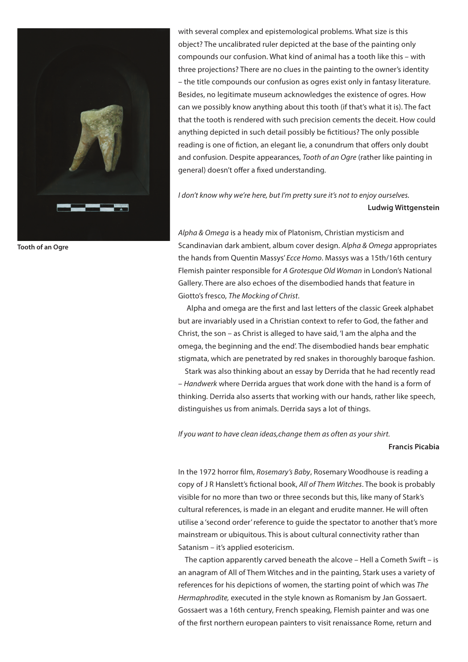

**Tooth of an Ogre**

with several complex and epistemological problems. What size is this object? The uncalibrated ruler depicted at the base of the painting only compounds our confusion. What kind of animal has a tooth like this – with three projections? There are no clues in the painting to the owner's identity – the title compounds our confusion as ogres exist only in fantasy literature. Besides, no legitimate museum acknowledges the existence of ogres. How can we possibly know anything about this tooth (if that's what it is). The fact that the tooth is rendered with such precision cements the deceit. How could anything depicted in such detail possibly be fictitious? The only possible reading is one of fiction, an elegant lie, a conundrum that offers only doubt and confusion. Despite appearances, *Tooth of an Ogre* (rather like painting in general) doesn't offer a fixed understanding.

I don't know why we're here, but I'm pretty sure it's not to enjoy ourselves. **Ludwig Wittgenstein**

*Alpha & Omega* is a heady mix of Platonism, Christian mysticism and Scandinavian dark ambient, album cover design. *Alpha & Omega* appropriates the hands from Quentin Massys' *Ecce Homo*. Massys was a 15th/16th century Flemish painter responsible for *A Grotesque Old Woman* in London's National Gallery. There are also echoes of the disembodied hands that feature in Giotto's fresco, *The Mocking of Christ*.

 Alpha and omega are the first and last letters of the classic Greek alphabet but are invariably used in a Christian context to refer to God, the father and Christ, the son – as Christ is alleged to have said, 'I am the alpha and the omega, the beginning and the end'. The disembodied hands bear emphatic stigmata, which are penetrated by red snakes in thoroughly baroque fashion.

Stark was also thinking about an essay by Derrida that he had recently read – *Handwerk* where Derrida argues that work done with the hand is a form of thinking. Derrida also asserts that working with our hands, rather like speech, distinguishes us from animals. Derrida says a lot of things.

*If you want to have clean ideas,change them as often as your shirt.*

**Francis Picabia** 

In the 1972 horror film, *Rosemary's Baby*, Rosemary Woodhouse is reading a copy of J R Hanslett's fictional book, *All of Them Witches*. The book is probably visible for no more than two or three seconds but this, like many of Stark's cultural references, is made in an elegant and erudite manner. He will often utilise a 'second order' reference to guide the spectator to another that's more mainstream or ubiquitous. This is about cultural connectivity rather than Satanism – it's applied esotericism.

The caption apparently carved beneath the alcove – Hell a Cometh Swift – is an anagram of All of Them Witches and in the painting, Stark uses a variety of references for his depictions of women, the starting point of which was *The Hermaphrodite,* executed in the style known as Romanism by Jan Gossaert. Gossaert was a 16th century, French speaking, Flemish painter and was one of the first northern european painters to visit renaissance Rome, return and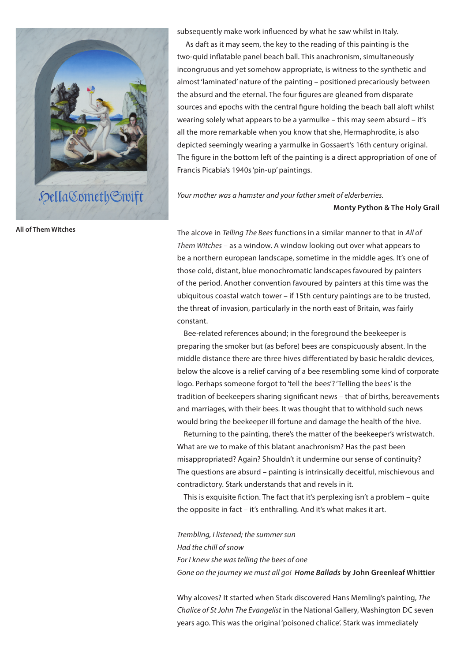

**All of Them Witches**

subsequently make work influenced by what he saw whilst in Italy.

 As daft as it may seem, the key to the reading of this painting is the two-quid inflatable panel beach ball. This anachronism, simultaneously incongruous and yet somehow appropriate, is witness to the synthetic and almost 'laminated' nature of the painting – positioned precariously between the absurd and the eternal. The four figures are gleaned from disparate sources and epochs with the central figure holding the beach ball aloft whilst wearing solely what appears to be a yarmulke – this may seem absurd – it's all the more remarkable when you know that she, Hermaphrodite, is also depicted seemingly wearing a yarmulke in Gossaert's 16th century original. The figure in the bottom left of the painting is a direct appropriation of one of Francis Picabia's 1940s 'pin-up' paintings.

*Your mother was a hamster and your father smelt of elderberries.*

#### **Monty Python & The Holy Grail**

The alcove in *Telling The Bees* functions in a similar manner to that in *All of Them Witches* – as a window. A window looking out over what appears to be a northern european landscape, sometime in the middle ages. It's one of those cold, distant, blue monochromatic landscapes favoured by painters of the period. Another convention favoured by painters at this time was the ubiquitous coastal watch tower – if 15th century paintings are to be trusted, the threat of invasion, particularly in the north east of Britain, was fairly constant.

Bee-related references abound; in the foreground the beekeeper is preparing the smoker but (as before) bees are conspicuously absent. In the middle distance there are three hives differentiated by basic heraldic devices, below the alcove is a relief carving of a bee resembling some kind of corporate logo. Perhaps someone forgot to 'tell the bees'? 'Telling the bees' is the tradition of beekeepers sharing significant news – that of births, bereavements and marriages, with their bees. It was thought that to withhold such news would bring the beekeeper ill fortune and damage the health of the hive.

Returning to the painting, there's the matter of the beekeeper's wristwatch. What are we to make of this blatant anachronism? Has the past been misappropriated? Again? Shouldn't it undermine our sense of continuity? The questions are absurd – painting is intrinsically deceitful, mischievous and contradictory. Stark understands that and revels in it.

This is exquisite fiction. The fact that it's perplexing isn't a problem – quite the opposite in fact – it's enthralling. And it's what makes it art.

*Trembling, I listened; the summer sun Had the chill of snow For I knew she was telling the bees of one Gone on the journey we must all go! Home Ballads* **by John Greenleaf Whittier**

Why alcoves? It started when Stark discovered Hans Memling's painting, *The Chalice of St John The Evangelist* in the National Gallery, Washington DC seven years ago. This was the original 'poisoned chalice'. Stark was immediately